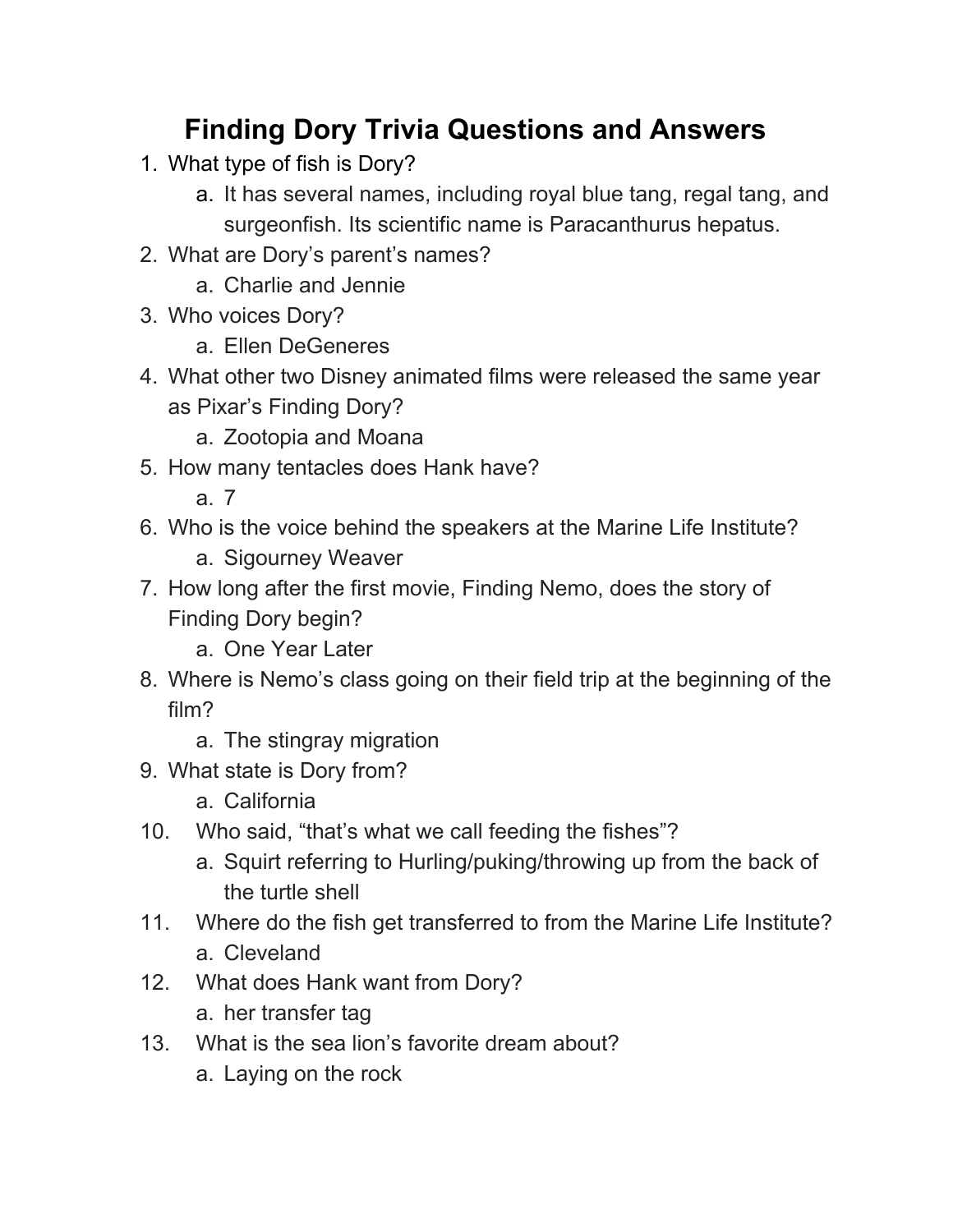## **Finding Dory Trivia Questions and Answers**

- 1. What type of fish is Dory?
	- a. It has several names, including royal blue tang, regal tang, and surgeonfish. Its scientific name is Paracanthurus hepatus.
- 2. What are Dory's parent's names?
	- a. Charlie and Jennie
- 3. Who voices Dory?
	- a. Ellen DeGeneres
- 4. What other two Disney animated films were released the same year as Pixar's Finding Dory?
	- a. Zootopia and Moana
- 5. How many tentacles does Hank have?

a. 7

- 6. Who is the voice behind the speakers at the Marine Life Institute?
	- a. Sigourney Weaver
- 7. How long after the first movie, Finding Nemo, does the story of Finding Dory begin?
	- a. One Year Later
- 8. Where is Nemo's class going on their field trip at the beginning of the film?
	- a. The stingray migration
- 9. What state is Dory from?
	- a. California
- 10. Who said, "that's what we call feeding the fishes"?
	- a. Squirt referring to Hurling/puking/throwing up from the back of the turtle shell
- 11. Where do the fish get transferred to from the Marine Life Institute? a. Cleveland
- 12. What does Hank want from Dory?
	- a. her transfer tag
- 13. What is the sea lion's favorite dream about?
	- a. Laying on the rock